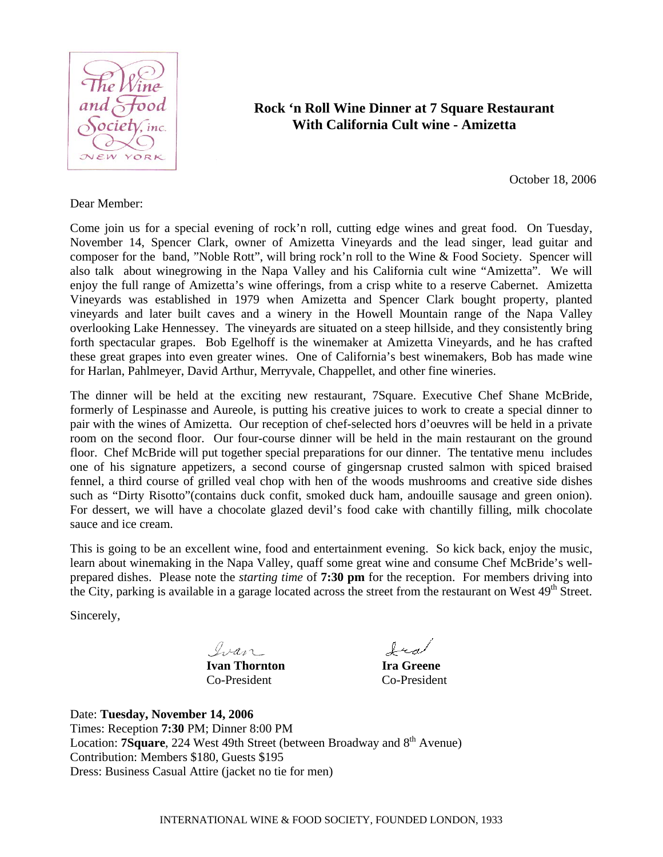

# **Rock 'n Roll Wine Dinner at 7 Square Restaurant With California Cult wine - Amizetta**

October 18, 2006

#### Dear Member:

Come join us for a special evening of rock'n roll, cutting edge wines and great food. On Tuesday, November 14, Spencer Clark, owner of Amizetta Vineyards and the lead singer, lead guitar and composer for the band, "Noble Rott", will bring rock'n roll to the Wine & Food Society. Spencer will also talk about winegrowing in the Napa Valley and his California cult wine "Amizetta". We will enjoy the full range of Amizetta's wine offerings, from a crisp white to a reserve Cabernet. Amizetta Vineyards was established in 1979 when Amizetta and Spencer Clark bought property, planted vineyards and later built caves and a winery in the Howell Mountain range of the Napa Valley overlooking Lake Hennessey. The vineyards are situated on a steep hillside, and they consistently bring forth spectacular grapes. Bob Egelhoff is the winemaker at Amizetta Vineyards, and he has crafted these great grapes into even greater wines. One of California's best winemakers, Bob has made wine for Harlan, Pahlmeyer, David Arthur, Merryvale, Chappellet, and other fine wineries.

The dinner will be held at the exciting new restaurant, 7Square. Executive Chef Shane McBride, formerly of Lespinasse and Aureole, is putting his creative juices to work to create a special dinner to pair with the wines of Amizetta. Our reception of chef-selected hors d'oeuvres will be held in a private room on the second floor. Our four-course dinner will be held in the main restaurant on the ground floor. Chef McBride will put together special preparations for our dinner. The tentative menu includes one of his signature appetizers, a second course of gingersnap crusted salmon with spiced braised fennel, a third course of grilled veal chop with hen of the woods mushrooms and creative side dishes such as "Dirty Risotto"(contains duck confit, smoked duck ham, andouille sausage and green onion). For dessert, we will have a chocolate glazed devil's food cake with chantilly filling, milk chocolate sauce and ice cream.

This is going to be an excellent wine, food and entertainment evening. So kick back, enjoy the music, learn about winemaking in the Napa Valley, quaff some great wine and consume Chef McBride's wellprepared dishes. Please note the *starting time* of **7:30 pm** for the reception. For members driving into the City, parking is available in a garage located across the street from the restaurant on West 49<sup>th</sup> Street.

Sincerely,

Ivan

fra

**Ivan Thornton Ira Greene** Co-President Co-President

Date: **Tuesday, November 14, 2006** Times: Reception **7:30** PM; Dinner 8:00 PM Location: **7Square**, 224 West 49th Street (between Broadway and 8<sup>th</sup> Avenue) Contribution: Members \$180, Guests \$195 Dress: Business Casual Attire (jacket no tie for men)